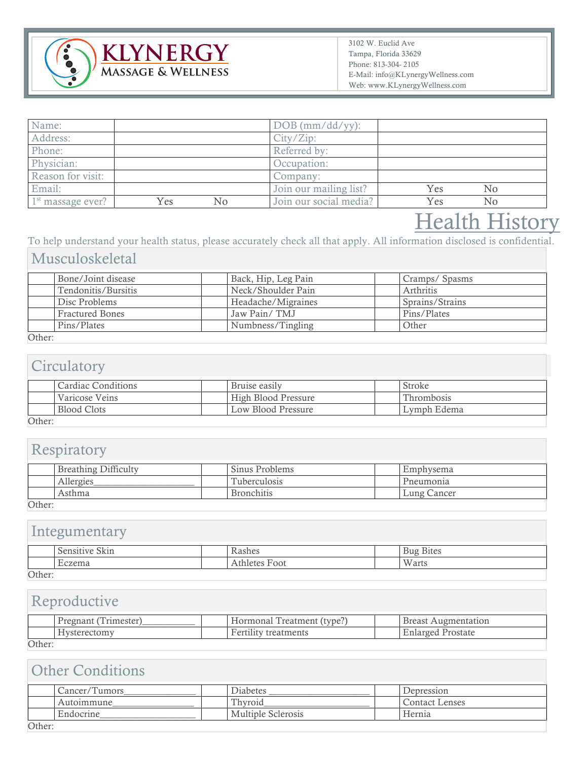

| Name:               |     |    | $DOB$ (mm/dd/yy):      |     |    |  |
|---------------------|-----|----|------------------------|-----|----|--|
| Address:            |     |    | City/Zip:              |     |    |  |
| Phone:              |     |    | Referred by:           |     |    |  |
| Physician:          |     |    | Occupation:            |     |    |  |
| Reason for visit:   |     |    | Company:               |     |    |  |
| Email:              |     |    | Join our mailing list? | Yes | No |  |
| $1st$ massage ever? | Yes | No | Join our social media? | Yes | No |  |

# **Health History**

To help understand your health status, please accurately check all that apply. All information disclosed is confidential.

## Musculoskeletal

|           | Bone/Joint disease     |  | Back, Hip, Leg Pain |  | Cramps/Spasms   |
|-----------|------------------------|--|---------------------|--|-----------------|
|           | Tendonitis/Bursitis    |  | Neck/Shoulder Pain  |  | Arthritis       |
|           | Disc Problems          |  | Headache/Migraines  |  | Sprains/Strains |
|           | <b>Fractured Bones</b> |  | Jaw Pain/TMJ        |  | Pins/Plates     |
|           | Pins/Plates            |  | Numbness/Tingling   |  | Other           |
| $\sim$ .1 |                        |  |                     |  |                 |

### Other:

### **Circulatory**

|                     | Cardiac Conditions | Bruise easily       | Stroke      |
|---------------------|--------------------|---------------------|-------------|
|                     | Varicose Veins     | High Blood Pressure | Thrombosis  |
|                     | <b>Blood Clots</b> | Low Blood Pressure  | Lymph Edema |
| $\bigcap_{i=1}^{n}$ |                    |                     |             |

Other:

# Respiratory

|                     | Breathing Difficulty |  | Sinus Problems      |  | Emphysema   |
|---------------------|----------------------|--|---------------------|--|-------------|
|                     | Allergies            |  | <b>Tuberculosis</b> |  | Pneumonia   |
|                     | Asthma               |  | <b>Bronchitis</b>   |  | Lung Cancer |
| $\bigcap_{k\geq 0}$ |                      |  |                     |  |             |

Other:

# Integumentary

|          | $\sim$ 1<br>$\sim$<br>.<br>Sensitiv<br>ONIII |  | 0.060<br>casnes       |  | <b>Bites</b><br>Bug |
|----------|----------------------------------------------|--|-----------------------|--|---------------------|
|          | T.<br>Eczema                                 |  | Foot<br>$+1$<br>leter |  | Warts               |
| $0$ ther |                                              |  |                       |  |                     |

Other:

## Reproductive

|                     | rimester<br>$P$ regnant<br>uldi. |  | $\sim$<br>type.<br>reatment<br>Hormona.                | .110men<br>tatior<br><b>Breast</b> |
|---------------------|----------------------------------|--|--------------------------------------------------------|------------------------------------|
|                     | <b>Hystere</b><br>ectomy         |  | treatments<br>$H \curvearrowright T$<br><b>CILLILL</b> | Prostate<br>Enlarged               |
| $\bigcap_{i=1}^{n}$ |                                  |  |                                                        |                                    |

Other:

| <b>Other Conditions</b> |                                                  |                 |                       |  |  |
|-------------------------|--------------------------------------------------|-----------------|-----------------------|--|--|
|                         | Cancer/Tumors                                    | <b>Diabetes</b> | Depression            |  |  |
|                         | Autoimmune                                       | Thyroid         | <b>Contact Lenses</b> |  |  |
|                         | <b>Multiple Sclerosis</b><br>Endocrine<br>Hernia |                 |                       |  |  |
| Other:                  |                                                  |                 |                       |  |  |